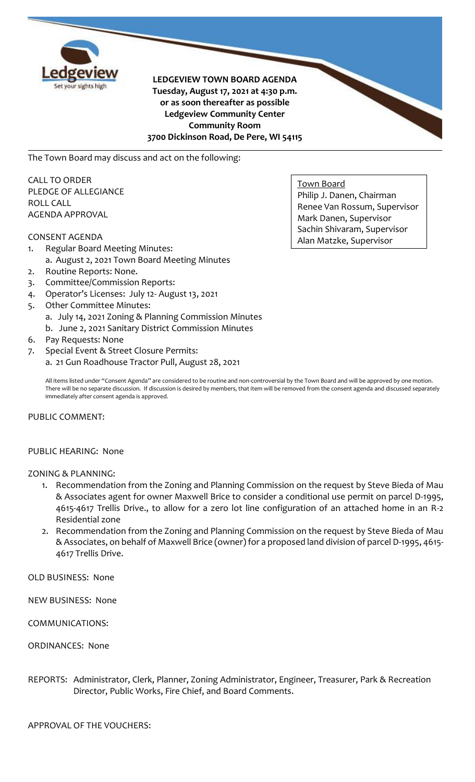

**LEDGEVIEW TOWN BOARD AGENDA Tuesday, August 17, 2021 at 4:30 p.m. or as soon thereafter as possible Ledgeview Community Center Community Room 3700 Dickinson Road, De Pere, WI 54115**

The Town Board may discuss and act on the following:

CALL TO ORDER PLEDGE OF ALLEGIANCE ROLL CALL AGENDA APPROVAL

### CONSENT AGENDA

- 1. Regular Board Meeting Minutes: a. August 2, 2021 Town Board Meeting Minutes
- 2. Routine Reports: None.
- 3. Committee/Commission Reports:
- 4. Operator's Licenses: July 12- August 13, 2021
- 5. Other Committee Minutes: a. July 14, 2021 Zoning & Planning Commission Minutes b. June 2, 2021 Sanitary District Commission Minutes
- 6. Pay Requests: None
- 7. Special Event & Street Closure Permits: a. 21 Gun Roadhouse Tractor Pull, August 28, 2021

All items listed under "Consent Agenda" are considered to be routine and non-controversial by the Town Board and will be approved by one motion.

There will be no separate discussion. If discussion is desired by members, that item will be removed from the consent agenda and discussed separately immediately after consent agenda is approved.

### PUBLIC COMMENT:

#### PUBLIC HEARING: None

### ZONING & PLANNING:

- 1. Recommendation from the Zoning and Planning Commission on the request by Steve Bieda of Mau & Associates agent for owner Maxwell Brice to consider a conditional use permit on parcel D-1995, 4615-4617 Trellis Drive., to allow for a zero lot line configuration of an attached home in an R-2 Residential zone
- 2. Recommendation from the Zoning and Planning Commission on the request by Steve Bieda of Mau & Associates, on behalf of Maxwell Brice (owner) for a proposed land division of parcel D-1995, 4615- 4617 Trellis Drive.

OLD BUSINESS: None

NEW BUSINESS: None

COMMUNICATIONS:

#### ORDINANCES: None

REPORTS: Administrator, Clerk, Planner, Zoning Administrator, Engineer, Treasurer, Park & Recreation Director, Public Works, Fire Chief, and Board Comments.

APPROVAL OF THE VOUCHERS:

Town Board Philip J. Danen, Chairman Renee Van Rossum, Supervisor Mark Danen, Supervisor Sachin Shivaram, Supervisor Alan Matzke, Supervisor